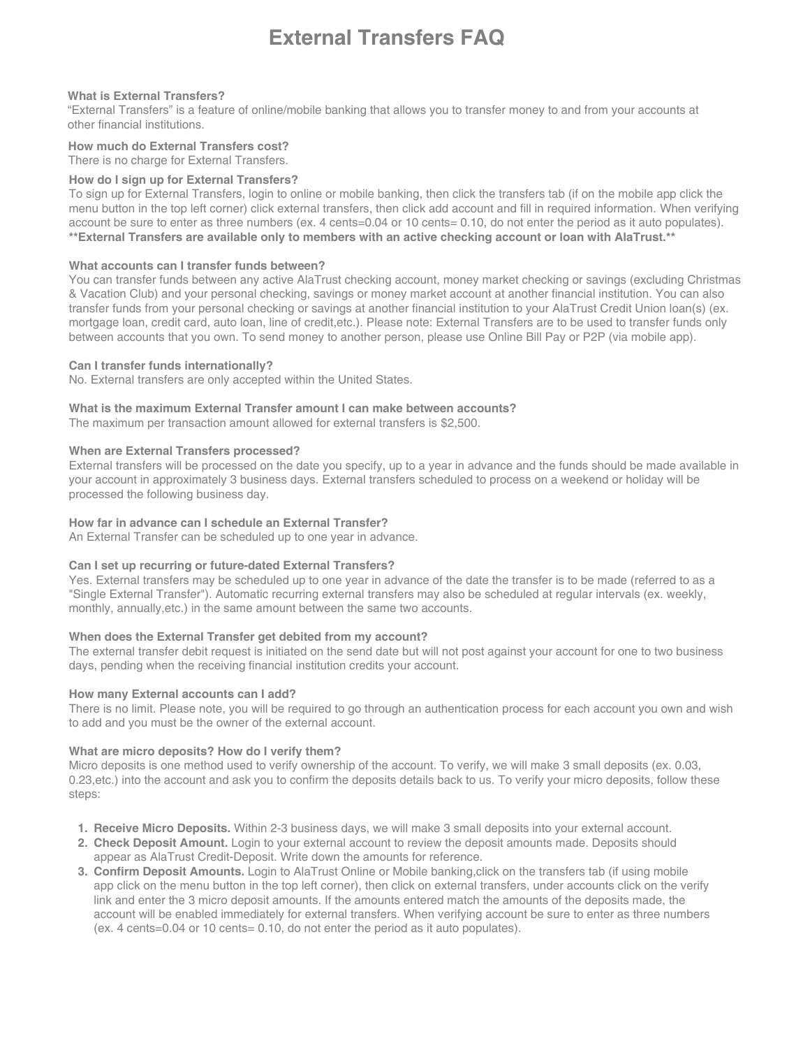# **External Transfers FAQ**

## **What is External Transfers?**

"External Transfers" is a feature of online/mobile banking that allows you to transfer money to and from your accounts at other financial institutions.

# **How much do External Transfers cost?**

There is no charge for External Transfers.

## **How do I sign up for External Transfers?**

To sign up for External Transfers, login to online or mobile banking, then click the transfers tab (if on the mobile app click the menu button in the top left corner) click external transfers, then click add account and fill in required information. When verifying account be sure to enter as three numbers (ex. 4 cents=0.04 or 10 cents= 0.10, do not enter the period as it auto populates). **\*\*External Transfers are available only to members with an active checking account or loan with AlaTrust.\*\***

## **What accounts can I transfer funds between?**

You can transfer funds between any active AlaTrust checking account, money market checking or savings (excluding Christmas & Vacation Club) and your personal checking, savings or money market account at another financial institution. You can also transfer funds from your personal checking or savings at another financial institution to your AlaTrust Credit Union loan(s) (ex. mortgage loan, credit card, auto loan, line of credit,etc.). Please note: External Transfers are to be used to transfer funds only between accounts that you own. To send money to another person, please use Online Bill Pay or P2P (via mobile app).

### **Can I transfer funds internationally?**

No. External transfers are only accepted within the United States.

### **What is the maximum External Transfer amount I can make between accounts?**

The maximum per transaction amount allowed for external transfers is \$2,500.

## **When are External Transfers processed?**

External transfers will be processed on the date you specify, up to a year in advance and the funds should be made available in your account in approximately 3 business days. External transfers scheduled to process on a weekend or holiday will be processed the following business day.

## **How far in advance can I schedule an External Transfer?**

An External Transfer can be scheduled up to one year in advance.

### **Can I set up recurring or future-dated External Transfers?**

Yes. External transfers may be scheduled up to one year in advance of the date the transfer is to be made (referred to as a "Single External Transfer"). Automatic recurring external transfers may also be scheduled at regular intervals (ex. weekly, monthly, annually,etc.) in the same amount between the same two accounts.

### **When does the External Transfer get debited from my account?**

The external transfer debit request is initiated on the send date but will not post against your account for one to two business days, pending when the receiving financial institution credits your account.

### **How many External accounts can I add?**

There is no limit. Please note, you will be required to go through an authentication process for each account you own and wish to add and you must be the owner of the external account.

### **What are micro deposits? How do I verify them?**

Micro deposits is one method used to verify ownership of the account. To verify, we will make 3 small deposits (ex. 0.03, 0.23,etc.) into the account and ask you to confirm the deposits details back to us. To verify your micro deposits, follow these steps:

- **1. Receive Micro Deposits.** Within 2-3 business days, we will make 3 small deposits into your external account.
- **2. Check Deposit Amount.** Login to your external account to review the deposit amounts made. Deposits should appear as AlaTrust Credit-Deposit. Write down the amounts for reference.
- **3. Confirm Deposit Amounts.** Login to AlaTrust Online or Mobile banking,click on the transfers tab (if using mobile app click on the menu button in the top left corner), then click on external transfers, under accounts click on the verify link and enter the 3 micro deposit amounts. If the amounts entered match the amounts of the deposits made, the account will be enabled immediately for external transfers. When verifying account be sure to enter as three numbers (ex. 4 cents=0.04 or 10 cents= 0.10, do not enter the period as it auto populates).